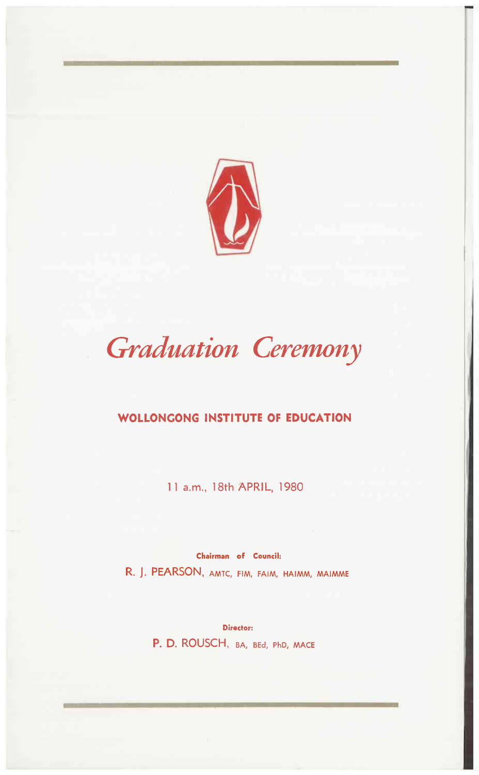

# *Graduation Ceremony*

### **WOLLONCONG INSTITUTE OF EDUCATION**

11 a.m., 18th APRIL, 1980

Chairman of Council: R. J. PEARSON, AMTC, FIM, FAIM, HAIMM, MAIMME

> Director: P. D. ROUSCH, BA, BEd, PhD, MACE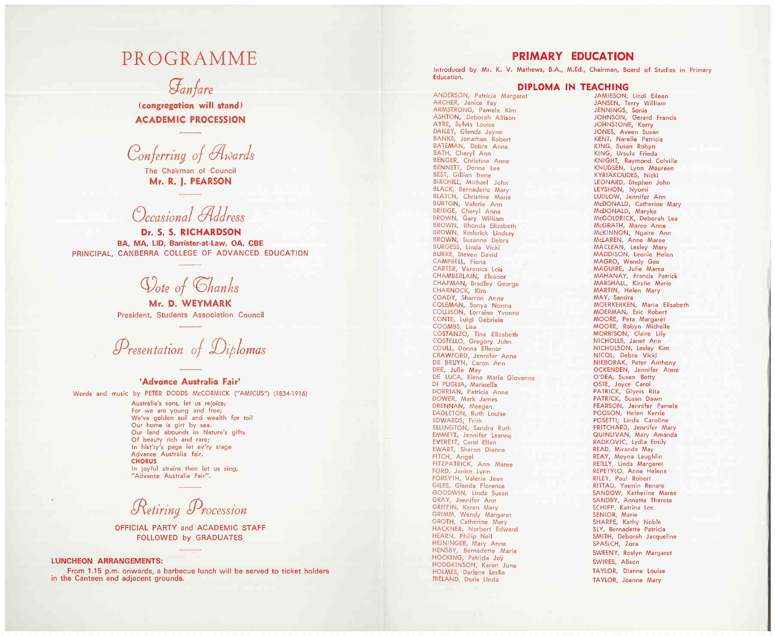## **PROGRAMME**

## Fanfare

(congregation will stand) **ACADEMIC PROCESSION** 

Conferring of Awards

The Chairman of Council Mr. R. J. PEARSON

## Occasional Address

Dr. S. S. RICHARDSON BA. MA. LID. Barrister-at-Law. OA. CBE PRINCIPAL, CANBERRA COLLEGE OF ADVANCED EDUCATION

Oote of Chanks

Mr. D. WEYMARK President, Students Association Council

Presentation of Diplomas

#### 'Advance Australia Fair'

Words and music by PETER DODDS McCORMICK ("AMICUS") (1834-1916)

Australia's sons, let us rejoice; For we are young and free; We've golden soil and wealth for toil Our home is girt by sea. Our land abounds in Nature's gifts Of beauty rich and rare; In hist'ry's page let ev'ry stage Advance Australia fair. **CHORUS** In joyful strains then let us sing, "Advance Australia Fair".

Retiring Procession

OFFICIAL PARTY and ACADEMIC STAFF **FOLLOWED by GRADUATES** 

#### **LUNCHEON ARRANGEMENTS:**

From 1.15 p.m. onwards, a barbecue lunch will be served to ticket holders in the Canteen and adjacent grounds.

### PRIMARY EDUCATION

Introduced by Mr. K. V. Mathews, B.A., M.Ed., Chairman, Board of Studies in Primary Education.

#### DIPLOMA IN TEACHING

ANDERSON, Patricia Margaret ARCHER, Janice Fay ARMSTRONG, Pamela Kim ASHTON, Deborah Allison AYRE, Sylvia Louise **BAILEY, Glenda Jayne** BANKS, Jonathan Robert BATEMAN, Debra Anne BATH, Cheryl Ann BENGER, Christine Anne BENNETT, Donna Lee BEST, Gillian Irene BIRCHILL, Michael John **BLACK, Bernadette Mary BLATCH, Christine Marie** BURTON, Valerie Ann BRIDGE, Cheryl Anne BROWN, Gary William BROWN, Rhonda Elizabeth BROWN, Roderick Lindsay BROWN, Suzanne Debra BURGESS, Linda Vicki **BURKE, Steven David** CAMPBELL, Fiona CARTER, Veronica Lois CHAMBERLAIN. Eleanor CHAPMAN, Bradley George CHARNOCK, Kim COADY, Sharron Anne COLEMAN, Sonya Norma COLLISON, Lorraine Yvonne CONTE, Luigi Gabriele COOMBS, Lisa COSTANZO, Tina Elizabeth COSTELLO, Gregory John COULL, Donna Ellenor CRAWFORD, Jennifer Anne DE BRUYN, Caron Ann DEE, Julie May DE LUCA, Elena Maria Giovanna DI PUGLIA, Marinella DORRIAN, Patricia Anne DOWER, Mark James DRENNAN, Meegan EAGLETON, Ruth Louise EDWARDS, Frith ELLINGTON, Sandra Ruth EMMETT, Jennifer Leanne EVERETT, Carol Ellen<br>EVERETT, Carol Ellen<br>EWART, Sharon Dianne FITCH, Angel FITZPATRICK, Ann Maree FORD, Janice Lynn FORSYTH, Valerie Jean GILES, Glenda Florence GOODWIN, Linda Susan GRAY, Jennifer Ann GRIFFIN, Karen Mary GRIMM, Wendy Margaret GROTH, Catherine Mary HACKNER, Norbert Edward HEARN, Philip Neil HEININGER, Mary Anne HENSBY, Bernadette Maria HOCKING, Patricia Joy HODGKINSON, Karen June HOLMES, Darlene Leslie I'RELAND, Doris Linda

JAMIESON, Lindi Eileen JANSEN, Terry William JENNINGS, Sonia JOHNSON, Gerard Francis JOHNSTONE, Kerry JONES, Aveen Susan KENT, Narelle Patricia KING, Susan Robyn KING, Ursula Frieda KNIGHT, Raymond Colville KNUDSEN, Lynn Maureen KYRIAKOUDES, Nicki LEONARD, Stephen John LEYSHON, Nyomi LUDLOW, Jennifer Ann McDONALD, Catherine Mary McDONALD, Maryke McGOLDRICK, Deborah Lea McGRATH, Maree Anne McKINNON, Ngaire Ann McLAREN, Anne Maree MACLEAN, Lesley Mary MADDISON, Leonie Helen MAGRO, Wendy Gae MAGUIRE, Julie Maree MAHANAY, Francis Patrick MARSHALL, Kirstie Marie MARTIN, Helen Mary MAY, Sandra MOERKERKEN, Maria Elisabeth MOERMAN, Eric Robert MOORE, Peta Margaret MOORE, Robyn Michelle MORRISON, Claire Lily NICHOLLS, Janet Ann NICHOLSON, Lesley Kim NICOL, Debra Vicki NIEBORAK, Peter Anthony OCKENDEN, Jennifer Anne O'DEA, Susan Betty OSTE, Joyce Carol PATRICK, Glynis Rita PATRICK, Susan Dawn PEARSON, Jennifer Pamela POGSON, Helen Kerrie POSETTI, Linda Caroline PRITCHARD, Jennifer Mary QUINLIVAN, Mary Amanda RADKOVIC, Lydia Emily READ, Miranda May REAY, Moyna Laughlin REI'LLY, Linda Margaret REPETYLO, Anna Helena RILEY, Paul Robert RITTAU, Yasmin Renate SANDOW, Katherine Maree SANDRY, Annette Therese SCHIPP, Katrina Lee SENIOR, Marie SHARPE, Kathy Noble SLY, Bernadette Patricia SMITH, Deborah Jacqueline SPASICH, Zora SWEENY, Roslyn Margaret SWIRES, Alison TAYLOR, Dianne Louise TAYLOR, Joanne Mary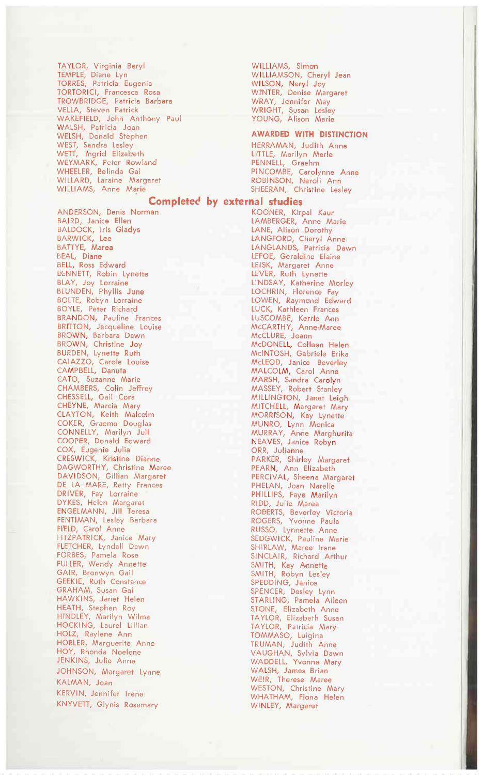TAYLOR, Virginia Beryl TEMPLE, Diane Lyn TORRES, Patricia Eugenia TORTORICI, Francesca Rosa TROWBRIDGE, Patricia Barbara VELLA, Steven Patrick<br>WAKEFIELD, John Anthony Paul WALSH, Patricia Joan<br>WELSH, Donald Stephen WEST, Sandra Lesley<br>WEST, Sandra Lesley<br>WETT, l'ngrid Elizabeth WEYMARK, Peter Rowland WHEELER, Belinda Gai<br>WILLARD, Laraine Margaret WILLIAMS, Anne Marie

ANDERSON, Denis Norman BAIRD, Janice Ellen **BALDOCK, Iris Gladys** BARWICK, Lee BATTYE, Marea BEAL, Diane<br>BEAL, Diane<br>BELL, Ross Edward **BENNETT, Robin Lynette** BLAY, Joy Lorraine<br>BLAY, Joy Lorraine<br>BLUNDEN, Phyllis June BOLTE, Robyn Lorraine BOYLE, Peter Richard **BRANDON, Pauline Frances** BRITTON, Jacqueline Louise BROWN, Christine Joy<br>BURDEN, Lynette Ruth CAIAZZO, Carole Louise<br>CAIAZZO, Carole Louise<br>CAMPBELL, Danuta CATO, Suzanne Marie CHAMBERS, Colin Jeffrey<br>CHAMBERS, Colin Jeffrey<br>CHESSELL, Gail Cora CHEYNE, Marcia Mary CLAYTON, Keith Malcolm COKER, Graeme Douglas CONNELLY, Marilyn Juil COOPER, Donald Edward COX, Eugenie Julia CRESWICK, Kristine Dianne DAGWORTHY, Christine Maree DAVIDSON, Gillian Margaret DE LA MARE, Betty Frances DRIVER, Fay Lorraine<br>DYKES, Helen Margaret ENGELMANN, Jill Teresa FENTIMAN, Lesley Barbara FIELD, Carol Anne<br>FIELD, Carol Anne<br>FITZPATRICK, Janice Mary FLETCHER, Lyndall Dawn FORBES, Pamela Rose<br>FULLER, Wendy Annette GAIR, Bronwyn Gail GEEKIE, Ruth Constance GRAHAM, Susan Gai<br>HAWKINS, Janet Helen HEATH, Stephen Roy HI'NDLEY, Marilyn Wilma HOCKING, Laurel Lillian HOLZ, Raylene Ann HORLER, Marguerite Anne HOY, Rhonda Noelene JENKINS, Julie Anne JOHNSON, Margaret Lynne KALMAN, Joan KERVIN, Jennifer Irene KNYVETT, Glynis Rosemary

WILLIAMS, Simon WILLIAMSON, Cheryl Jean WILSON, Neryl Joy<br>WINTER, Denise Margaret WRAY, Jennifer May WRAT, Jennice May<br>WRIGHT, Susan Lesley<br>YOUNG, Alison Marie

#### **AWARDED WITH DISTINCTION**

HERRAMAN, Judith Anne LITTLE, Marilyn Merle PENNELL, Graehm PINCOMBE, Carolynne Anne<br>ROBINSON, Neroli Ann SHEERAN, Christine Leslev

#### Completed by external studies

KOONER, Kirpal Kaur LAMBERGER, Anne Marie LANE, Alison Dorothy LANGFORD, Cheryl Anne<br>LANGLANDS, Patricia Dawn LEFOE, Geraldine Elaine<br>LEFOE, Geraldine Elaine<br>LEVER, Ruth Lynette LINDSAY, Katherine Morley<br>LOCHRIN, Florence Fay LOWEN, Raymond Edward LUCK, Kathleen Frances LUSCOMBE, Kerrie Ann McCARTHY, Anne-Maree<br>McCLURE, Joann McDONELL, Colleen Helen<br>McDONELL, Colleen Helen<br>McINTOSH, Gabriele Erika McLEOD, Janice Beverley MALCOLM, Carol Anne MARSH, Sandra Carolyn<br>MARSH, Sandra Carolyn<br>MASSEY, Robert Stanley<br>MILLINGTON, Janet Leigh MITCHELL, Margaret Mary MORRISON, Kay Lynette MUNRO, Lynn Monica<br>MURRAY, Anne Marghurita<br>NEAVES, Janice Robyn ORR, Julianne PARKER, Shirley Margaret PEARN, Ann Elizabeth PERCIVAL, Sheena Margaret PHELAN, Joan Narelle PHILLIPS, Faye Marilyn RIDD, Julie Marea **ROBERTS, Beverley Victoria**<br>ROBERTS, Beverley Victoria<br>ROGERS, Yvonne Paula RUSSO, Lynnette Anne SEDGWICK, Pauline Marie SHI'RLAW, Maree Irene SINCLAIR, Richard Arthur SMITH, Kay Annette<br>SMITH, Kay Annette<br>SMITH, Robyn Lesley SPEDDING, Janice SPENCER, Desley Lynn STARLING, Pamela Aileen<br>STARLING, Pamela Aileen<br>STONE, Elizabeth Anne TAYLOR, Elizabeth Susan TAYLOR, Patricia Mary<br>TOMMASO, Luigina TRUMAN, Judith Anne VAUGHAN, Sylvia Dawn<br>WAUGHAN, Sylvia Dawn<br>WADDELL, Yvonne Mary WALSH, James Brian WEIR, Therese Maree WESTON, Christine Mary WHATHAM, Fiona Helen WINLEY, Margaret